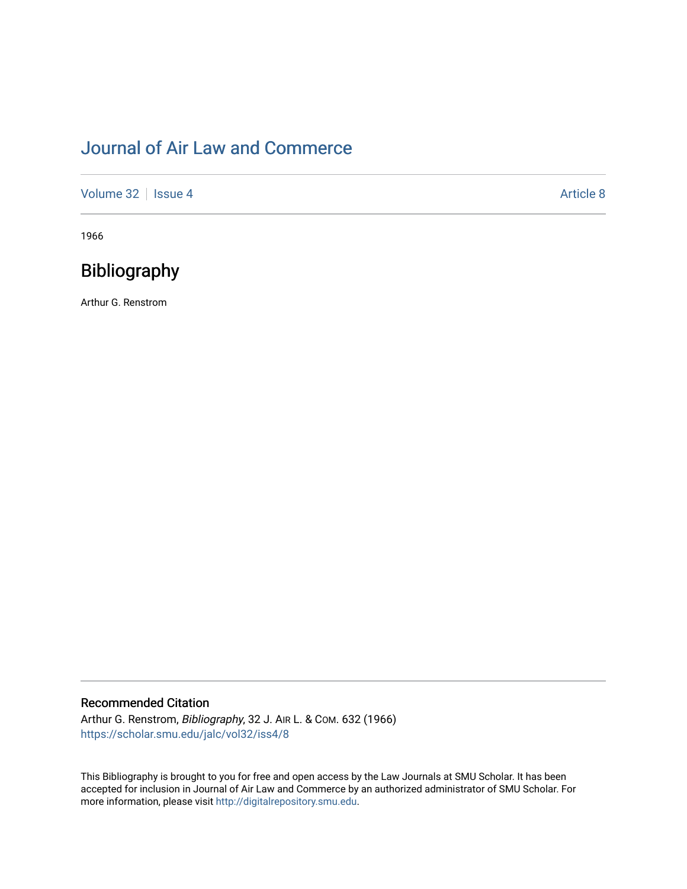# [Journal of Air Law and Commerce](https://scholar.smu.edu/jalc)

[Volume 32](https://scholar.smu.edu/jalc/vol32) | [Issue 4](https://scholar.smu.edu/jalc/vol32/iss4) Article 8

1966

## Bibliography

Arthur G. Renstrom

## Recommended Citation

Arthur G. Renstrom, Bibliography, 32 J. AIR L. & COM. 632 (1966) [https://scholar.smu.edu/jalc/vol32/iss4/8](https://scholar.smu.edu/jalc/vol32/iss4/8?utm_source=scholar.smu.edu%2Fjalc%2Fvol32%2Fiss4%2F8&utm_medium=PDF&utm_campaign=PDFCoverPages) 

This Bibliography is brought to you for free and open access by the Law Journals at SMU Scholar. It has been accepted for inclusion in Journal of Air Law and Commerce by an authorized administrator of SMU Scholar. For more information, please visit [http://digitalrepository.smu.edu](http://digitalrepository.smu.edu/).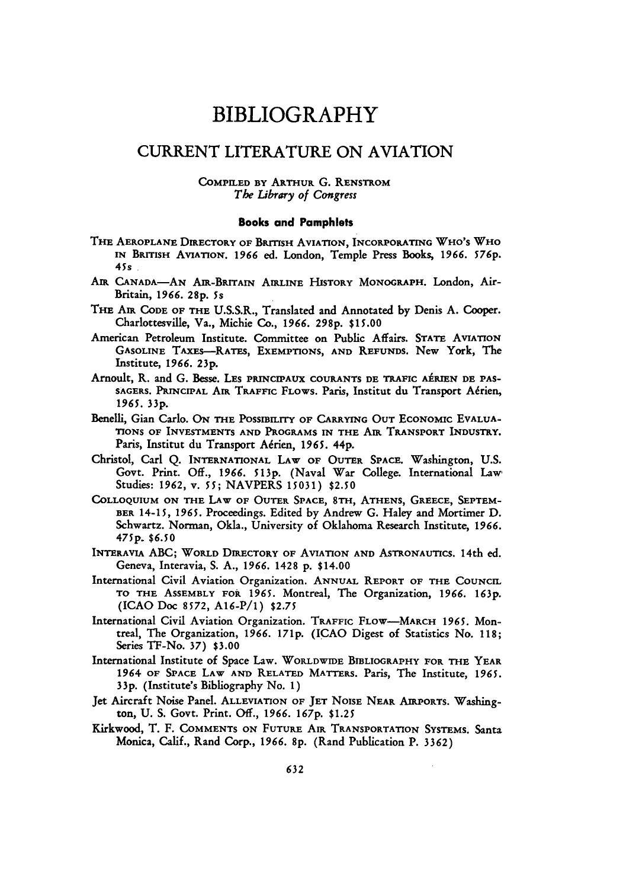## BIBLIOGRAPHY

## CURRENT LITERATURE ON AVIATION

### **COMPILED BY** ARTHUR **G. RENSTROM** The Library of Congress

#### Books and Pamphlets

- **THE AEROPLANE** DIRECTORY **OF BRITISH** AVIATION, **INCORPORATING WHO'S WHO** IN **BRITISH** AVIATION. **1966** ed. London, Temple Press Books, **1966.** *576 p.* **45s**
- *Ant* **CANADA-AN** AjR-BRITArN **AIRLINE** HISTORY MONOGRAPH. London, Air-Britain, **1966. 28p.** *5s*
- **THE AIR CODE OF** THE **U.S.S.R.,** Translated and Annotated **by** Denis **A.** Cooper. Charlottesville, Va., Michie Co., **1966. 298p. \$15.00**
- American Petroleum Institute. Committee on Public Affairs. **STATE AVIATION GASOLINE TAXEs-RATES,** EXEMPTIONS, **AND REFUNDS.** New York, The Institute, 1966. **23p.**
- Arnoult, R. and G. Besse. LES PRINCIPAUX COURANTS DE TRAFIC AÉRIEN DE PAS-SAGERS. PRINCIPAL AIR TRAFFIC FLOWS. Paris, Institut du Transport Aérien, *1965.* 33p.
- Benelli, Gian Carlo. On THE POSSIBILITY OF CARRYING OUT ECONOMIC EVALUA-**IONS OF INVESTMENTS AND** PROGRAMS **IN THE AIR TRANSPORT INDUSTRY.** Paris, Institut du Transport Aérien, 1965. 44p.
- Christol, Carl **Q. INTERNATIONAL LAW OF OUTER SPACE.** Washington, **U.S.** Govt. Print. Off., 1966. **513p.** (Naval War College. International Law, Studies: 1962, v. **55;** NAVPERS 15031) **\$2.50**
- **COLLOQUIUM ON** THE LAW OF OUTER **SPACE, 8TH, ATHENS, GREECE, SEPTEM-BER** 14-15, 1965. Proceedings. Edited by Andrew **G.** Haley and Mortimer **D.** Schwartz. Norman, Okla., University of Oklahoma Research Institute, 1966. **475p.** *\$6.50*
- **INTERAVIA** ABC; **WORLD DIRECTORY OF AVIATION AND ASTRONAUTICS.** 14th ed. Geneva, Interavia, S. A., *1966.* 1428 p. \$14.00
- International Civil Aviation Organization. ANNUAL REPORT **OF THE** COUNCIL TO THE ASSEMBLY **FOR 1965.** Montreal, The Organization, 1966. 163p. (ICAO Doc 8572, A16-P/1) \$2.75
- International Civil Aviation Organization. TRAFFIC **FLOW-MARCH 1965.** Montreal, The Organization, 1966. **171p.** (ICAO Digest of Statistics No. 118; Series TF-No. **37) \$3.00**
- International Institute of Space Law. WORLDWIDE BIBLIOGRAPHY FOR THE YEAR *1964* **OF** SPACE LAW AND RELATED MATTERS. Paris, The Institute, 1965. 33p. (Institute's Bibliography No. 1)
- Jet Aircraft Noise Panel. **ALLEVIATION** OF **JET NOISE NEAR AIRPORTS.** Washington, **U.** S. Govt. Print. Off., 1966. *167p.* \$1.25
- Kirkwood, T. F. **COMMENTS ON FUTURE** AIR **TRANSPORTATION SYSTEMS.** Santa Monica, Calif., Rand Corp., 1966. 8p. (Rand Publication P. 3362)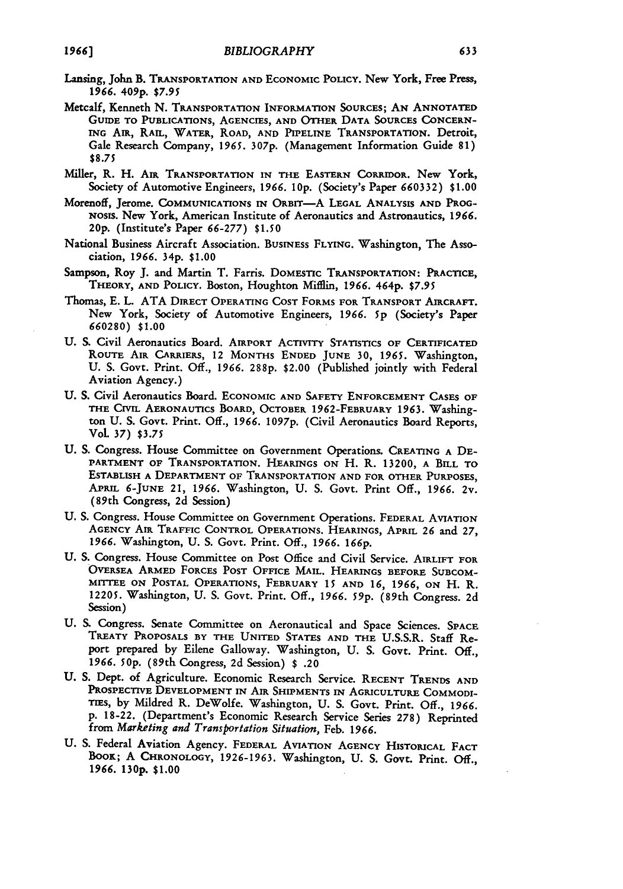- Lansing, John B. **TRANSPORTATION AND ECONOMIC POLICY.** New York, Free Press, **1966. 409p.** *\$7.95*
- Metcalf, Kenneth **N.** TRANSPORTATION **INFORMATION SOURCES; AN ANNOTATED** GUIDE TO PUBLICATIONS, AGENCIES, AND OTHER DATA SOURCES CONCERN-**ING** AIR, RAIL, WATER, ROAD, **AND** PIPELINE TRANSPORTATION. **Detroit,** Gale Research Company, **1965. <sup>3</sup> <sup>07</sup> p.** (Management Information Guide **81) \$8.75**
- Miller, R. H. **AIR** TRANSPORTATION IN THE **EASTERN CORRIDOR. New** York, Society of Automotive Engineers, **1966. 10p.** (Society's Paper **660332) \$1.00**
- Morenoff, Jerome. COMMUNICATIONS IN ORBIT-A LEGAL ANALYSIS AND PROG-NOSIS. New York, American Institute of Aeronautics and Astronautics, 1966. 20p. (Institute's Paper *66-277)* \$1.50
- National Business Aircraft Association. BusNESS **FLYING.** Washington, The Association, **1966.** 34p. **\$1.00**
- Sampson, Roy J. and Martin T. Farris. DOMESTIC TRANSPORTATION: **PRACTICE, THEORY, AND POLICY.** Boston, Houghton Mifflin, **1966.** 464p. **\$7.95**
- Thomas, **E.** L. **ATA** DIRECT OPERATING COST FORMS FOR TRANSPORT AIRCRAFT. New York, Society of Automotive Engineers, **1966.** 5p (Society's Paper **660280) \$1.00**
- **U. S.** Civil Aeronautics Board. **AIRPORT ACTIVITY STATISTICS OF CERTIFICATED** ROUTE AIR CARRIERS, 12 MONTHS **ENDED JUNE 30,** *1965.* Washington, **U. S.** Govt. Print. **Off.,** *1966.* **288p.** \$2.00 (Published jointly with Federal Aviation Agency.)
- **U. S.** Civil Aeronautics Board. **ECONOMIC AND SAFETY ENFORCEMENT CASES** OF THE **CIVIL AERONAUTICS** BOARD, OCTOBER 1962-FEBRUARY **1963.** Washington **U.** S. Govt. Print. Off., **1966.** *1097p.* (Civil Aeronautics Board Reports, VoL **37)** *\$3.75*
- **U.** S. Congress. House Committee on Government Operations. CREATING **A** DE-PARTMENT OF TRANSPORTATION. **HEARINGS ON** H. R. 13200, **A BILL TO ESTABLISH A DEPARTMENT** OF **TRANSPORTATION AND FOR OTHER PURPOSES, APRIL 6-JUNE** 21, 1966. Washington, **U.** S. Govt. Print **Off.,** *1966.* 2v. (89th Congress, 2d Session)
- U. S. Congress. House Committee on Government Operations. FEDERAL AVIATION AGENCY AIR TRAFFIC CONTROL OPERATIONS. HEARINGS, APRIL **26** and **27, 1966.** Washington, **U. S.** Govt. Print. **Off.,** *1966. 166p.*
- **U. S.** Congress. House Committee on Post Office and Civil Service. AIRLIFT FOR OVERSEA ARMED FORCES **POST** OFFICE MAIL. HEARINGS BEFORE **SUBCOM-**MrITEE **ON POSTAL** OPERATIONS, FEBRUARY 15 **AND** *16,* **1966,** ON H. R. 12205. Washington, U. **S.** Govt. Print. **Off.,** 1966. **59p.** (89th Congress. 2d Session)
- **U. S.** Congress. Senate Committee on Aeronautical and Space Sciences. **SPACE** TREATY PROPOSALS BY THE UNITED STATES **AND** THE U.S.S.R. Staff Report prepared by Eilene Galloway. Washington, **U.** S. Govt. Print. Off., *1966.* **50p.** (89th Congress, **2d** Session) \$ .20
- **U. S.** Dept. of Agriculture. Economic Research Service. **RECENT TRENDS AND PROSPECTIVE DEVELOPMENT IN** AIR SHIPMENTS IN AGRICULTURE COMMODI-TIES, **by** Mildred R. DeWolfe. Washington, **U. S.** Govt. Print. **Off., 1966. p. 18-22.** (Department's Economic Research Service Series **278)** Reprinted from *Marketing and Transportation Situation,* Feb. **1966.**
- **U.** S. Federal Aviation Agency. FEDERAL AVIATION AGENCY HISTORICAL **FACT** BOOK; **A CHRONOLOGY,** 1926-1963. Washington, **U.** S. Govt. Print. Off., 1966. **130p.** \$1.00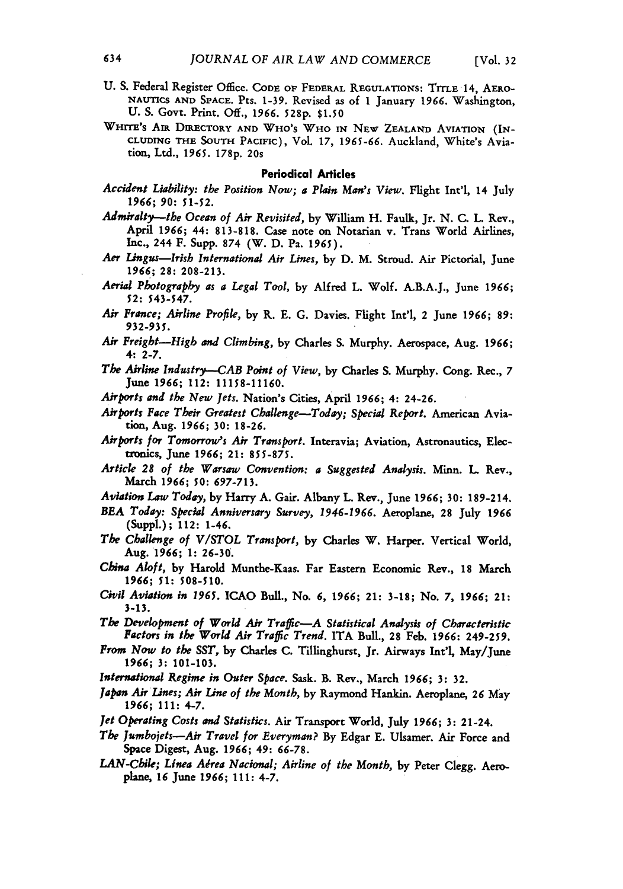- U. S. Federal Register Office. CODE OF FEDERAL REGULATIONS: TITLE 14, AERO-**NAUTICS AND SPACE.** Pts. **1-39.** Revised as of **1** January **1966.** Washington, **U. S.** Govt. Print. *Off.,* 1966. **528p. \$1.50**
- **WHITE's AIR DIRECTORY AND** WHO's WHO **IN** NEw **ZEALAND** AVIATION **(IN-CLUDING THE SOUTH PACIFIC),** Vol. **17,** 1965-66. Auckland, White's Aviation, Ltd., **1965. 178p.** 20s

### Periodical Articles

- *Accident Liability: the Position Now; a Plain Man's View.* Flight Int'l, 14 July *1966;* **90: 51-52.**
- *Admiralty-the* Ocean of *Air Revisited,* **by** William H. Faulk, Jr. N. **C.** L. Rev., April 1966; 44: 813-818. Case note on Notarian v. Trans World Airlines, Inc., 244 F. Supp. **874** (W. **D.** Pa. 1965).
- *Aer Lingus-Irish International Air Lines,* **by D.** M. Stroud. Air Pictorial, June **1966; 28: 208-213.**
- *Aerial Photography as a Legal Tool,* by Alfred L. Wolf. A.B.A.J., June **1966; 52:** 543-547.
- *Air France; Airline Profile,* **by** R. **E.** G. Davies. Flight Int'l, 2 June **1966; 89: 932-935.**
- *Air Freigbt-High and Climbing,* by Charles S. Murphy. Aerospace, Aug. **1966;** 4: **2-7.**
- *The Airline Industry--CAB Point of View,* **by** Charles **S.** Murphy. Cong. Rec., **7** June **1966;** 112: 11158-11160.
- *Airports and the New Jets.* Nation's Cities, April **1966;** 4: 24-26.
- *Airports Face Their Greatest Challenge-Today; Special Report.* American Aviation, Aug. *1966;* **30: 18-26.**
- *Airports for Tomorrow's Air Transport.* Interavia; Aviation, Astronautics, Electronics, June 1966; 21: 855-875.
- *Article 28 of the Warsaw Convention: a Suggested Analysis.* Minn. **L.** Rev., March *1966; 50: 697-713.*
- *Aviation Law Today,* **by Harry A.** Gair. Albany L. Rev., June 1966; **30:** 189-214.
- *BEA Today: Special Anniversary Survey, 1946-1966.* Aeroplane, **28 July** *1966* (Suppl.); 112: 1-46.
- *The Challenge of VISTOL Transport,* **by** Charles **W.** Harper. Vertical World, Aug. 1966; **1: 26-30.**
- *China Aloft,* **by** Harold Munthe-Kaas. Far Eastern Economic Rev., **18** March *1966; 51:* **508-510.**
- *Civil Aviation in 1965.* **ICAO** Bull., No. *6,* **1966;** 21: **3-18;** No. **7, 1966;** 21: **3-13.**

*The Development of World Air Traffic-A Statistical Analysis of Characteristic Factors in the World Air Traffic Trend.* ITA Bull., **28** Feb. **1966:** 249-259.

- *From Now to the SST,* **by** Charles **C.** Tillinghurst, Jr. Airways Int'l, May/June **1966; 3: 101-103.**
- *Intenational Regime in Outer Space.* Sask. B. Rev., March **1966; 3: 32.**
- *Japan Air Lines; Air Line of the Month,* by Raymond Hankin. Aeroplane, **26** May **1966;** 111: 4-7.
- *Jet Operating Costs and Statistics.* Air Transport World, July 1966; **3:** 21-24.
- *The Jumbojets-Air Travel for Everyman?* By Edgar E. Ulsamer. Air Force and Space Digest, Aug. **1966;** 49: **66-78.**
- LAN-Chile; Linea Aérea Nacional; Airline of the Month, by Peter Clegg. Aeroplane, 16 June **1966;** 111: 4-7.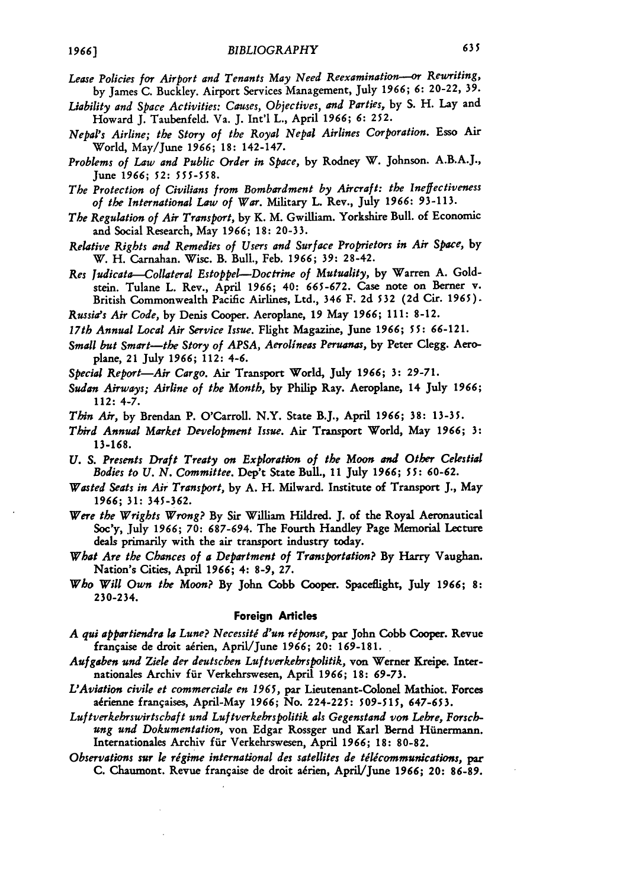- *Lease Policies for Airport and Tenants May Need Reexamination---or Rewriting,* by James C. Buckley. Airport Services Management, July **1966; 6:** 20-22, 39.
- *Liability and Space Activities: Causes, Objectives, and Parties,* by **S.** H. Lay and Howard J. Taubenfeld. Va. J. Int'l L., April *1966; 6:* 252.
- *Nepal's Airline; the Story of the Royal Nepal Airlines Corporation.* Esso Air World, May/June *1966;* **18:** 142-147.
- *Problems of Law and Public Order in Space,* **by** Rodney W. Johnson. **A.B.A.J.,** June *1966;* **52: 555-558.**
- *The Protection of Civilians from Bombardment by Aircraft: the Ineffectiveness of the International Law of War.* Military L. Rev., July **1966:** 93-113.
- *The Regulation of Air Transport,* by K. M. Gwilliam. Yorkshire Bull. of Economic and Social Research, May *1966;* **18:** 20-33.
- *Relative Rights and Remedies of Users and Surface Proprietors in Air Space,* **by** W. H. Carnahan. Wisc. B. Bull., Feb. *1966; 39:* 28-42.
- *Res Judicata-Collateral Estoppel--Doctrine of Mutuality,* by Warren A. Goldstein. Tulane L. Rev., April **1966;** 40: **665-672.** Case note on Berner v. British Commonwealth Pacific Airlines, Ltd., 346 F. 2d **532 (2d** Cir. **1965).**
- *Russia's Air Code,* by Denis Cooper. Aeroplane, **19** May **1966;** 111: 8-12.
- *17th Annual Local Air Service Issue.* Flight Magazine, June **1966;** *55:* **66-12 1.**
- *Small but Smart-the Story of APSA, Aerolineas Peruanas,* **by** Peter Clegg. Aeroplane, 21 July *1966;* 112: 4-6.
- *Special Report-Air Cargo.* Air Transport World, July *1966;* **3: 29-71.**
- *Sudan Airways; Airline of the Month,* **by** Philip Ray. Aeroplane, 14 July *1966;* 112: 4-7.
- *Thin Air,* **by** Brendan P. O'Carroll. N.Y. State B.J., April *1966;* **38: 13-35.**
- *Third Annual Market Development Issue.* Air Transport World, May *1966;* **3: 13-168.**
- *U. S. Presents Draft Treaty on Exploration of the Moon and Other Celestial Bodies to U. N. Committee.* Dep't State Bull., **11** July *1966; 55: 60-62.*
- *Wasted Seats in Air Transport,* **by A.** H. Milward. Institute of Transport **J.,** May *1966;* **31: 345-362.**
- *Were the Wrights Wrong?* **By** Sir William Hildred. **J.** of the Royal Aeronautical Soc'y, July **1966;** *70:* **687-694.** The Fourth Handley Page Memorial Lecture deals primarily with the air transport industry today.
- *What Are the Chances of a Department of Transportation?* **By** Harry Vaughan. Nation's Cities, April **1966;** 4: **8-9, 27.**
- *Who Will Own the Moon?* **By** John Cobb **Cooper.** Spaceflight, July *1966;* **8:** 230-234.

### **Foreign Articles**

- *A qui appartiendra la Lune? Necessitd d'un riponse,* par John Cobb Cooper. Revue frangaise de droit a6rien, April/June *1966;* 20: 169-181.
- *Aufgaben und Ziele der deutschen Luftverkehrspolitik,* von Werner Kreipe. Internationales Archiv fir Verkehrswesen, April **1966;** 18: **69-73.**
- *L'Aviation civile et commerciale en 1965,* par Lieutenant-Colonel Mathiot. Forces airienne frangaises, April-May **1966;** No. 224-225: *509-515,* **647-653.**
- *Luftverkebrswirtschaft und Luftverkehrspolitik als Gegenstand von Lehre, Forschung und Dokumentation,* von Edgar Rossger und Karl Bernd Hiinermann. Internationales Archiv für Verkehrswesen, April 1966; 18: 80-82.
- *Observations sur le rigime international des satellites de tdlcommunications, par* **C.** Chaumont. Revue frangaise de droit aiien, April/June *1966;* 20: **86-89.**